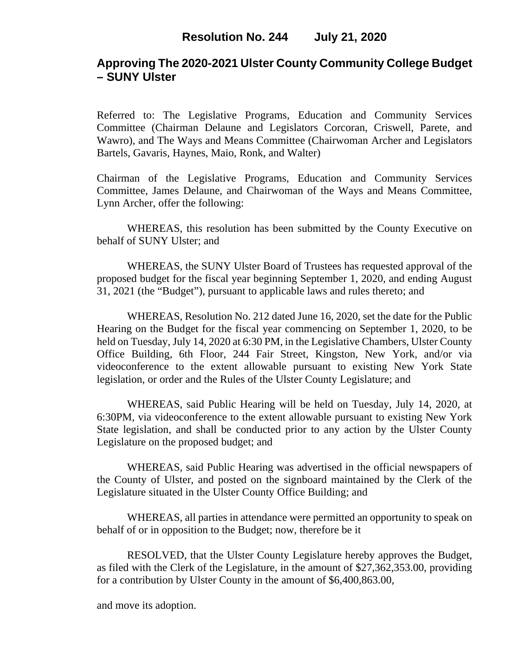# **Approving The 2020-2021 Ulster County Community College Budget – SUNY Ulster**

Referred to: The Legislative Programs, Education and Community Services Committee (Chairman Delaune and Legislators Corcoran, Criswell, Parete, and Wawro), and The Ways and Means Committee (Chairwoman Archer and Legislators Bartels, Gavaris, Haynes, Maio, Ronk, and Walter)

Chairman of the Legislative Programs, Education and Community Services Committee, James Delaune, and Chairwoman of the Ways and Means Committee, Lynn Archer, offer the following:

WHEREAS, this resolution has been submitted by the County Executive on behalf of SUNY Ulster; and

WHEREAS, the SUNY Ulster Board of Trustees has requested approval of the proposed budget for the fiscal year beginning September 1, 2020, and ending August 31, 2021 (the "Budget"), pursuant to applicable laws and rules thereto; and

WHEREAS, Resolution No. 212 dated June 16, 2020, set the date for the Public Hearing on the Budget for the fiscal year commencing on September 1, 2020, to be held on Tuesday, July 14, 2020 at 6:30 PM, in the Legislative Chambers, Ulster County Office Building, 6th Floor, 244 Fair Street, Kingston, New York, and/or via videoconference to the extent allowable pursuant to existing New York State legislation, or order and the Rules of the Ulster County Legislature; and

WHEREAS, said Public Hearing will be held on Tuesday, July 14, 2020, at 6:30PM, via videoconference to the extent allowable pursuant to existing New York State legislation, and shall be conducted prior to any action by the Ulster County Legislature on the proposed budget; and

WHEREAS, said Public Hearing was advertised in the official newspapers of the County of Ulster, and posted on the signboard maintained by the Clerk of the Legislature situated in the Ulster County Office Building; and

WHEREAS, all parties in attendance were permitted an opportunity to speak on behalf of or in opposition to the Budget; now, therefore be it

RESOLVED, that the Ulster County Legislature hereby approves the Budget, as filed with the Clerk of the Legislature, in the amount of \$27,362,353.00, providing for a contribution by Ulster County in the amount of \$6,400,863.00,

and move its adoption.